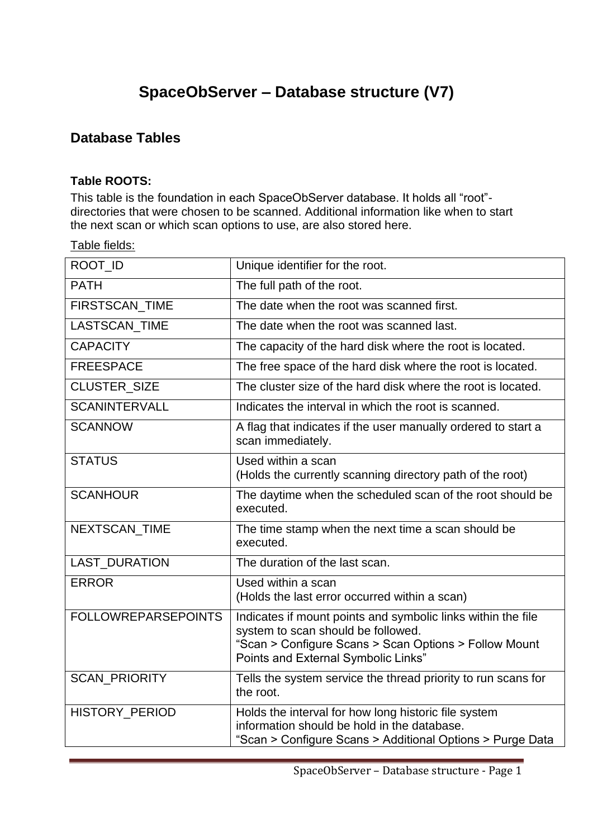# **SpaceObServer – Database structure (V7)**

# **Database Tables**

#### **Table ROOTS:**

This table is the foundation in each SpaceObServer database. It holds all "root" directories that were chosen to be scanned. Additional information like when to start the next scan or which scan options to use, are also stored here.

| ROOT ID                    | Unique identifier for the root.                                                                                                                                                                    |  |
|----------------------------|----------------------------------------------------------------------------------------------------------------------------------------------------------------------------------------------------|--|
| <b>PATH</b>                | The full path of the root.                                                                                                                                                                         |  |
| FIRSTSCAN_TIME             | The date when the root was scanned first.                                                                                                                                                          |  |
| <b>LASTSCAN TIME</b>       | The date when the root was scanned last.                                                                                                                                                           |  |
| <b>CAPACITY</b>            | The capacity of the hard disk where the root is located.                                                                                                                                           |  |
| <b>FREESPACE</b>           | The free space of the hard disk where the root is located.                                                                                                                                         |  |
| <b>CLUSTER SIZE</b>        | The cluster size of the hard disk where the root is located.                                                                                                                                       |  |
| <b>SCANINTERVALL</b>       | Indicates the interval in which the root is scanned.                                                                                                                                               |  |
| <b>SCANNOW</b>             | A flag that indicates if the user manually ordered to start a<br>scan immediately.                                                                                                                 |  |
| <b>STATUS</b>              | Used within a scan<br>(Holds the currently scanning directory path of the root)                                                                                                                    |  |
| <b>SCANHOUR</b>            | The daytime when the scheduled scan of the root should be<br>executed.                                                                                                                             |  |
| <b>NEXTSCAN TIME</b>       | The time stamp when the next time a scan should be<br>executed.                                                                                                                                    |  |
| <b>LAST DURATION</b>       | The duration of the last scan.                                                                                                                                                                     |  |
| <b>ERROR</b>               | Used within a scan<br>(Holds the last error occurred within a scan)                                                                                                                                |  |
| <b>FOLLOWREPARSEPOINTS</b> | Indicates if mount points and symbolic links within the file<br>system to scan should be followed.<br>"Scan > Configure Scans > Scan Options > Follow Mount<br>Points and External Symbolic Links" |  |
| <b>SCAN PRIORITY</b>       | Tells the system service the thread priority to run scans for<br>the root.                                                                                                                         |  |
| HISTORY_PERIOD             | Holds the interval for how long historic file system<br>information should be hold in the database.<br>"Scan > Configure Scans > Additional Options > Purge Data                                   |  |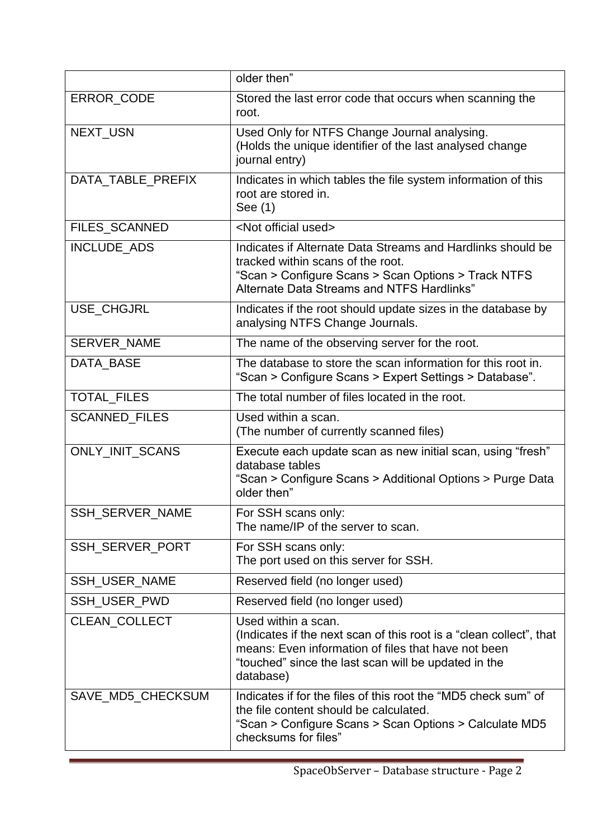|                      | older then"                                                                                                                                                                                                            |  |
|----------------------|------------------------------------------------------------------------------------------------------------------------------------------------------------------------------------------------------------------------|--|
| ERROR_CODE           | Stored the last error code that occurs when scanning the<br>root.                                                                                                                                                      |  |
| NEXT_USN             | Used Only for NTFS Change Journal analysing.<br>(Holds the unique identifier of the last analysed change<br>journal entry)                                                                                             |  |
| DATA TABLE PREFIX    | Indicates in which tables the file system information of this<br>root are stored in.<br>See (1)                                                                                                                        |  |
| FILES_SCANNED        | <not official="" used=""></not>                                                                                                                                                                                        |  |
| INCLUDE_ADS          | Indicates if Alternate Data Streams and Hardlinks should be<br>tracked within scans of the root.<br>"Scan > Configure Scans > Scan Options > Track NTFS<br>Alternate Data Streams and NTFS Hardlinks"                  |  |
| USE_CHGJRL           | Indicates if the root should update sizes in the database by<br>analysing NTFS Change Journals.                                                                                                                        |  |
| SERVER_NAME          | The name of the observing server for the root.                                                                                                                                                                         |  |
| DATA_BASE            | The database to store the scan information for this root in.<br>"Scan > Configure Scans > Expert Settings > Database".                                                                                                 |  |
| <b>TOTAL_FILES</b>   | The total number of files located in the root.                                                                                                                                                                         |  |
| SCANNED_FILES        | Used within a scan.<br>(The number of currently scanned files)                                                                                                                                                         |  |
| ONLY_INIT_SCANS      | Execute each update scan as new initial scan, using "fresh"<br>database tables<br>"Scan > Configure Scans > Additional Options > Purge Data<br>older then"                                                             |  |
| SSH_SERVER_NAME      | For SSH scans only:<br>The name/IP of the server to scan.                                                                                                                                                              |  |
| SSH_SERVER_PORT      | For SSH scans only:<br>The port used on this server for SSH.                                                                                                                                                           |  |
| SSH_USER_NAME        | Reserved field (no longer used)                                                                                                                                                                                        |  |
| SSH_USER_PWD         | Reserved field (no longer used)                                                                                                                                                                                        |  |
| <b>CLEAN COLLECT</b> | Used within a scan.<br>(Indicates if the next scan of this root is a "clean collect", that<br>means: Even information of files that have not been<br>"touched" since the last scan will be updated in the<br>database) |  |
| SAVE_MD5_CHECKSUM    | Indicates if for the files of this root the "MD5 check sum" of<br>the file content should be calculated.<br>"Scan > Configure Scans > Scan Options > Calculate MD5<br>checksums for files"                             |  |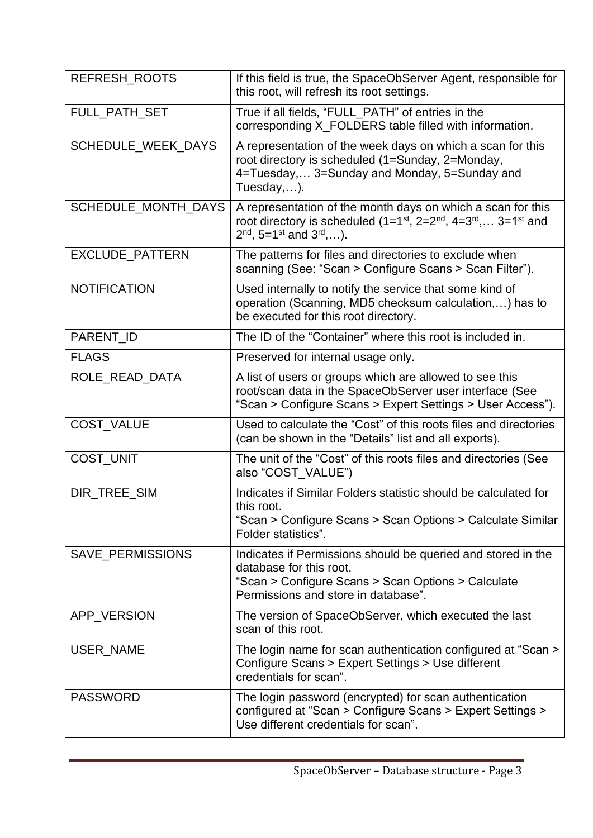| <b>REFRESH ROOTS</b> | If this field is true, the SpaceObServer Agent, responsible for<br>this root, will refresh its root settings.                                                                                     |  |
|----------------------|---------------------------------------------------------------------------------------------------------------------------------------------------------------------------------------------------|--|
| FULL_PATH_SET        | True if all fields, "FULL PATH" of entries in the<br>corresponding X_FOLDERS table filled with information.                                                                                       |  |
| SCHEDULE_WEEK_DAYS   | A representation of the week days on which a scan for this<br>root directory is scheduled (1=Sunday, 2=Monday,<br>4=Tuesday, 3=Sunday and Monday, 5=Sunday and<br>Tuesday, $\dots$ ).             |  |
| SCHEDULE_MONTH_DAYS  | A representation of the month days on which a scan for this<br>root directory is scheduled $(1=1^{st}, 2=2^{nd}, 4=3^{rd}, \ldots, 3=1^{st}$ and<br>$2^{nd}$ , 5=1 <sup>st</sup> and $3^{rd}$ ,). |  |
| EXCLUDE_PATTERN      | The patterns for files and directories to exclude when<br>scanning (See: "Scan > Configure Scans > Scan Filter").                                                                                 |  |
| <b>NOTIFICATION</b>  | Used internally to notify the service that some kind of<br>operation (Scanning, MD5 checksum calculation,) has to<br>be executed for this root directory.                                         |  |
| PARENT_ID            | The ID of the "Container" where this root is included in.                                                                                                                                         |  |
| <b>FLAGS</b>         | Preserved for internal usage only.                                                                                                                                                                |  |
| ROLE_READ_DATA       | A list of users or groups which are allowed to see this<br>root/scan data in the SpaceObServer user interface (See<br>"Scan > Configure Scans > Expert Settings > User Access").                  |  |
| COST_VALUE           | Used to calculate the "Cost" of this roots files and directories<br>(can be shown in the "Details" list and all exports).                                                                         |  |
| COST_UNIT            | The unit of the "Cost" of this roots files and directories (See<br>also "COST VALUE")                                                                                                             |  |
| DIR_TREE_SIM         | Indicates if Similar Folders statistic should be calculated for<br>this root.<br>"Scan > Configure Scans > Scan Options > Calculate Similar<br>Folder statistics".                                |  |
| SAVE_PERMISSIONS     | Indicates if Permissions should be queried and stored in the<br>database for this root.<br>"Scan > Configure Scans > Scan Options > Calculate<br>Permissions and store in database".              |  |
| APP_VERSION          | The version of SpaceObServer, which executed the last<br>scan of this root.                                                                                                                       |  |
| USER_NAME            | The login name for scan authentication configured at "Scan ><br>Configure Scans > Expert Settings > Use different<br>credentials for scan".                                                       |  |
| <b>PASSWORD</b>      | The login password (encrypted) for scan authentication<br>configured at "Scan > Configure Scans > Expert Settings ><br>Use different credentials for scan".                                       |  |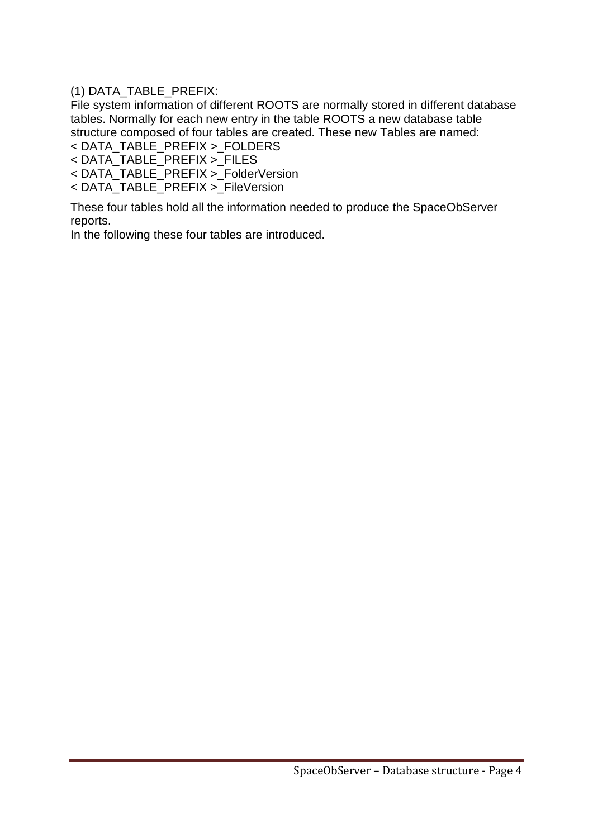(1) DATA\_TABLE\_PREFIX:

File system information of different ROOTS are normally stored in different database tables. Normally for each new entry in the table ROOTS a new database table structure composed of four tables are created. These new Tables are named:

< DATA\_TABLE\_PREFIX >\_FOLDERS

< DATA\_TABLE\_PREFIX >\_FILES

< DATA\_TABLE\_PREFIX >\_FolderVersion

< DATA\_TABLE\_PREFIX >\_FileVersion

These four tables hold all the information needed to produce the SpaceObServer reports.

In the following these four tables are introduced.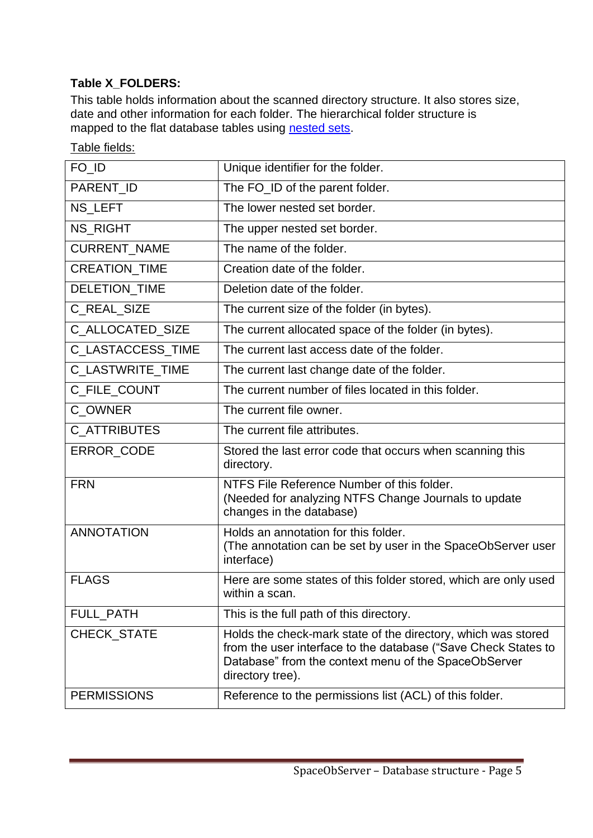# **Table X\_FOLDERS:**

This table holds information about the scanned directory structure. It also stores size, date and other information for each folder. The hierarchical folder structure is mapped to the flat database tables using [nested sets.](http://en.wikipedia.org/wiki/Nested_set_model)

### Table fields:

| FO ID                | Unique identifier for the folder.                                                                                                                                                                           |  |
|----------------------|-------------------------------------------------------------------------------------------------------------------------------------------------------------------------------------------------------------|--|
| PARENT_ID            | The FO_ID of the parent folder.                                                                                                                                                                             |  |
| NS_LEFT              | The lower nested set border.                                                                                                                                                                                |  |
| <b>NS RIGHT</b>      | The upper nested set border.                                                                                                                                                                                |  |
| <b>CURRENT_NAME</b>  | The name of the folder.                                                                                                                                                                                     |  |
| <b>CREATION TIME</b> | Creation date of the folder.                                                                                                                                                                                |  |
| DELETION_TIME        | Deletion date of the folder.                                                                                                                                                                                |  |
| C_REAL_SIZE          | The current size of the folder (in bytes).                                                                                                                                                                  |  |
| C_ALLOCATED_SIZE     | The current allocated space of the folder (in bytes).                                                                                                                                                       |  |
| C_LASTACCESS_TIME    | The current last access date of the folder.                                                                                                                                                                 |  |
| C_LASTWRITE_TIME     | The current last change date of the folder.                                                                                                                                                                 |  |
| C_FILE_COUNT         | The current number of files located in this folder.                                                                                                                                                         |  |
| C_OWNER              | The current file owner.                                                                                                                                                                                     |  |
| <b>C ATTRIBUTES</b>  | The current file attributes.                                                                                                                                                                                |  |
| ERROR_CODE           | Stored the last error code that occurs when scanning this<br>directory.                                                                                                                                     |  |
| <b>FRN</b>           | NTFS File Reference Number of this folder.<br>(Needed for analyzing NTFS Change Journals to update<br>changes in the database)                                                                              |  |
| <b>ANNOTATION</b>    | Holds an annotation for this folder.<br>(The annotation can be set by user in the SpaceObServer user<br>interface)                                                                                          |  |
| <b>FLAGS</b>         | Here are some states of this folder stored, which are only used<br>within a scan.                                                                                                                           |  |
| <b>FULL_PATH</b>     | This is the full path of this directory.                                                                                                                                                                    |  |
| CHECK_STATE          | Holds the check-mark state of the directory, which was stored<br>from the user interface to the database ("Save Check States to<br>Database" from the context menu of the SpaceObServer<br>directory tree). |  |
| <b>PERMISSIONS</b>   | Reference to the permissions list (ACL) of this folder.                                                                                                                                                     |  |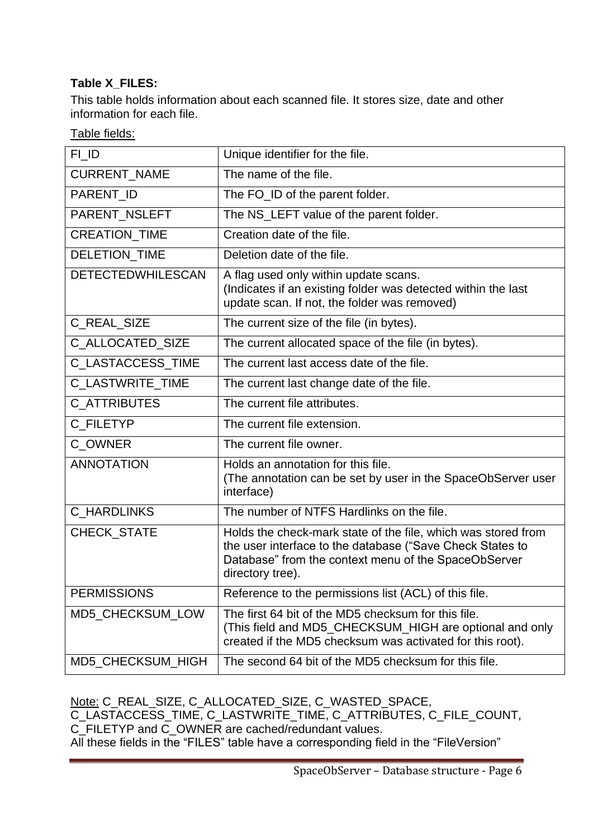## **Table X\_FILES:**

This table holds information about each scanned file. It stores size, date and other information for each file.

#### Table fields:

| FI ID                    | Unique identifier for the file.                                                                                                                                                                        |  |
|--------------------------|--------------------------------------------------------------------------------------------------------------------------------------------------------------------------------------------------------|--|
| CURRENT_NAME             | The name of the file.                                                                                                                                                                                  |  |
| PARENT_ID                | The FO_ID of the parent folder.                                                                                                                                                                        |  |
| PARENT_NSLEFT            | The NS_LEFT value of the parent folder.                                                                                                                                                                |  |
| <b>CREATION_TIME</b>     | Creation date of the file.                                                                                                                                                                             |  |
| DELETION_TIME            | Deletion date of the file.                                                                                                                                                                             |  |
| <b>DETECTEDWHILESCAN</b> | A flag used only within update scans.<br>(Indicates if an existing folder was detected within the last<br>update scan. If not, the folder was removed)                                                 |  |
| C_REAL_SIZE              | The current size of the file (in bytes).                                                                                                                                                               |  |
| C_ALLOCATED_SIZE         | The current allocated space of the file (in bytes).                                                                                                                                                    |  |
| C_LASTACCESS_TIME        | The current last access date of the file.                                                                                                                                                              |  |
| C LASTWRITE TIME         | The current last change date of the file.                                                                                                                                                              |  |
| <b>C_ATTRIBUTES</b>      | The current file attributes.                                                                                                                                                                           |  |
| C_FILETYP                | The current file extension.                                                                                                                                                                            |  |
| C OWNER                  | The current file owner.                                                                                                                                                                                |  |
| <b>ANNOTATION</b>        | Holds an annotation for this file.<br>(The annotation can be set by user in the SpaceObServer user<br>interface)                                                                                       |  |
| <b>C_HARDLINKS</b>       | The number of NTFS Hardlinks on the file.                                                                                                                                                              |  |
| CHECK_STATE              | Holds the check-mark state of the file, which was stored from<br>the user interface to the database ("Save Check States to<br>Database" from the context menu of the SpaceObServer<br>directory tree). |  |
| <b>PERMISSIONS</b>       | Reference to the permissions list (ACL) of this file.                                                                                                                                                  |  |
| MD5 CHECKSUM LOW         | The first 64 bit of the MD5 checksum for this file.<br>(This field and MD5_CHECKSUM_HIGH are optional and only<br>created if the MD5 checksum was activated for this root).                            |  |
| MD5_CHECKSUM_HIGH        | The second 64 bit of the MD5 checksum for this file.                                                                                                                                                   |  |

## Note: C\_REAL\_SIZE, C\_ALLOCATED\_SIZE, C\_WASTED\_SPACE,

C\_LASTACCESS\_TIME, C\_LASTWRITE\_TIME, C\_ATTRIBUTES, C\_FILE\_COUNT, C\_FILETYP and C\_OWNER are cached/redundant values. All these fields in the "FILES" table have a corresponding field in the "FileVersion"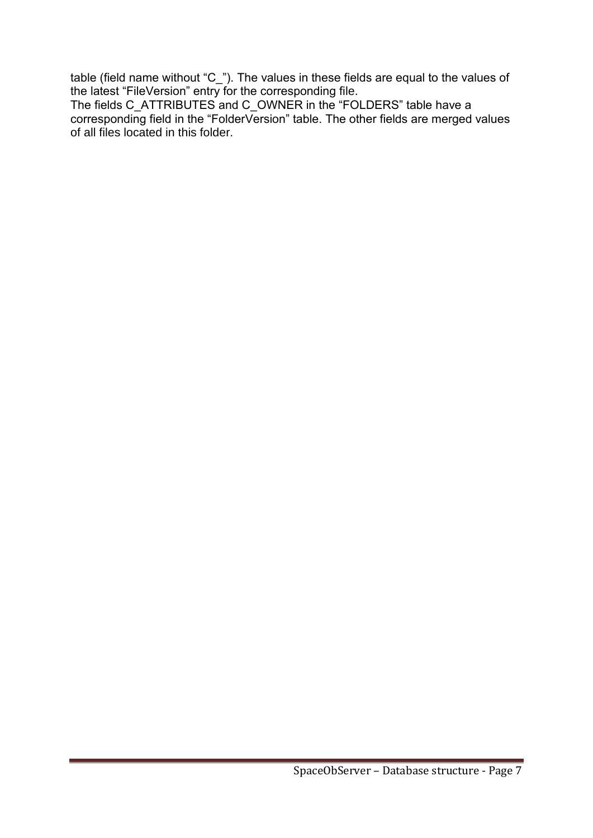table (field name without "C\_"). The values in these fields are equal to the values of the latest "FileVersion" entry for the corresponding file.

The fields C\_ATTRIBUTES and C\_OWNER in the "FOLDERS" table have a corresponding field in the "FolderVersion" table. The other fields are merged values of all files located in this folder.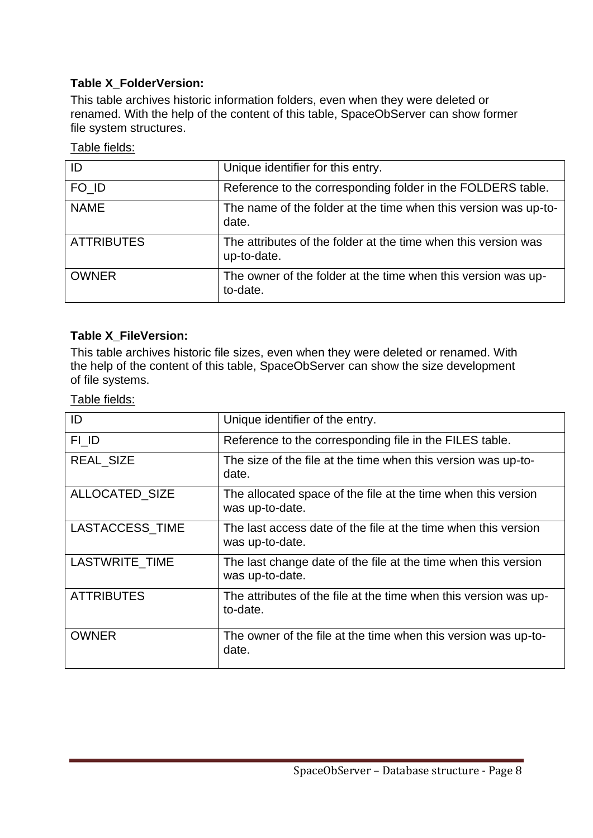## **Table X\_FolderVersion:**

This table archives historic information folders, even when they were deleted or renamed. With the help of the content of this table, SpaceObServer can show former file system structures.

#### Table fields:

| ID                | Unique identifier for this entry.                                             |
|-------------------|-------------------------------------------------------------------------------|
| FO ID             | Reference to the corresponding folder in the FOLDERS table.                   |
| <b>NAME</b>       | The name of the folder at the time when this version was up-to-<br>date.      |
| <b>ATTRIBUTES</b> | The attributes of the folder at the time when this version was<br>up-to-date. |
| <b>OWNER</b>      | The owner of the folder at the time when this version was up-<br>to-date.     |

#### **Table X\_FileVersion:**

This table archives historic file sizes, even when they were deleted or renamed. With the help of the content of this table, SpaceObServer can show the size development of file systems.

Table fields:

| ID                     | Unique identifier of the entry.                                                   |
|------------------------|-----------------------------------------------------------------------------------|
| FI ID                  | Reference to the corresponding file in the FILES table.                           |
| REAL_SIZE              | The size of the file at the time when this version was up-to-<br>date.            |
| <b>ALLOCATED SIZE</b>  | The allocated space of the file at the time when this version<br>was up-to-date.  |
| <b>LASTACCESS TIME</b> | The last access date of the file at the time when this version<br>was up-to-date. |
| LASTWRITE_TIME         | The last change date of the file at the time when this version<br>was up-to-date. |
| <b>ATTRIBUTES</b>      | The attributes of the file at the time when this version was up-<br>to-date.      |
| <b>OWNER</b>           | The owner of the file at the time when this version was up-to-<br>date.           |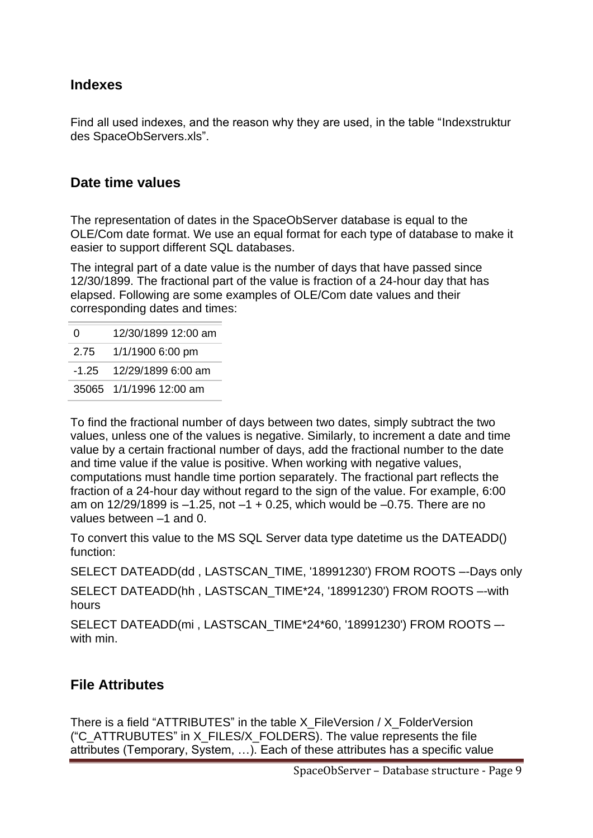## **Indexes**

Find all used indexes, and the reason why they are used, in the table "Indexstruktur des SpaceObServers.xls".

## **Date time values**

The representation of dates in the SpaceObServer database is equal to the OLE/Com date format. We use an equal format for each type of database to make it easier to support different SQL databases.

The integral part of a date value is the number of days that have passed since 12/30/1899. The fractional part of the value is fraction of a 24-hour day that has elapsed. Following are some examples of OLE/Com date values and their corresponding dates and times:

0 12/30/1899 12:00 am 2.75 1/1/1900 6:00 pm -1.25 12/29/1899 6:00 am 35065 1/1/1996 12:00 am

To find the fractional number of days between two dates, simply subtract the two values, unless one of the values is negative. Similarly, to increment a date and time value by a certain fractional number of days, add the fractional number to the date and time value if the value is positive. When working with negative values, computations must handle time portion separately. The fractional part reflects the fraction of a 24-hour day without regard to the sign of the value. For example, 6:00 am on 12/29/1899 is –1.25, not –1 + 0.25, which would be –0.75. There are no values between –1 and 0.

To convert this value to the MS SQL Server data type datetime us the DATEADD() function:

SELECT DATEADD(dd, LASTSCAN\_TIME, '18991230') FROM ROOTS --Days only

SELECT DATEADD(hh , LASTSCAN\_TIME\*24, '18991230') FROM ROOTS –-with hours

SELECT DATEADD(mi , LASTSCAN\_TIME\*24\*60, '18991230') FROM ROOTS – with min.

# **File Attributes**

There is a field "ATTRIBUTES" in the table X\_FileVersion / X\_FolderVersion ("C\_ATTRUBUTES" in X\_FILES/X\_FOLDERS). The value represents the file attributes (Temporary, System, …). Each of these attributes has a specific value